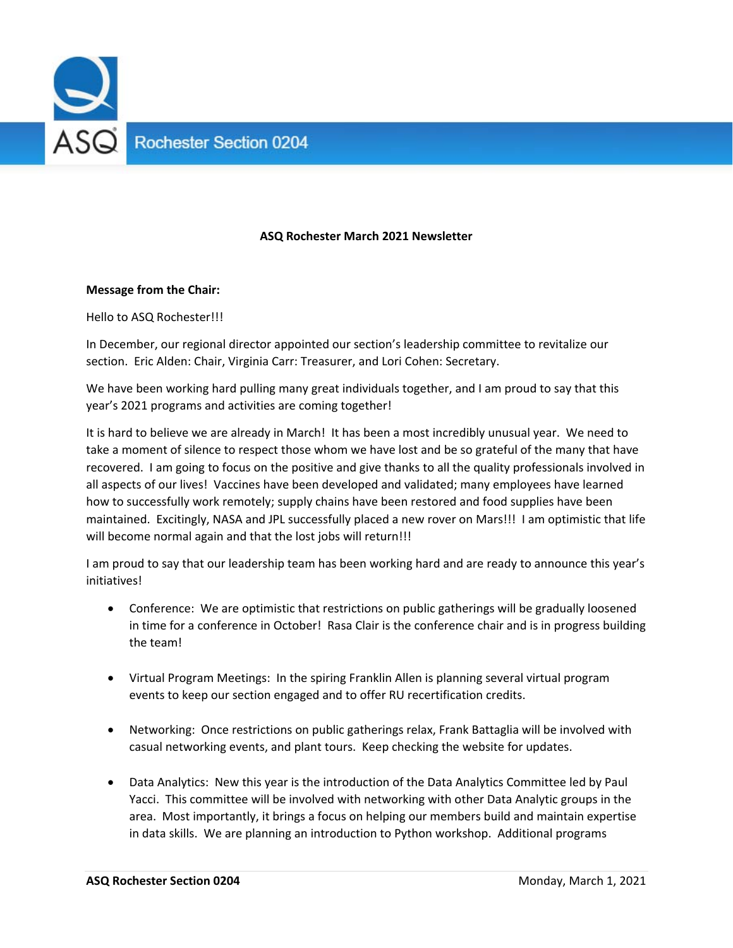

# **ASQ Rochester March 2021 Newsletter**

#### **Message from the Chair:**

Hello to ASQ Rochester!!!

In December, our regional director appointed our section's leadership committee to revitalize our section. Eric Alden: Chair, Virginia Carr: Treasurer, and Lori Cohen: Secretary.

We have been working hard pulling many great individuals together, and I am proud to say that this year's 2021 programs and activities are coming together!

It is hard to believe we are already in March! It has been a most incredibly unusual year. We need to take a moment of silence to respect those whom we have lost and be so grateful of the many that have recovered. I am going to focus on the positive and give thanks to all the quality professionals involved in all aspects of our lives! Vaccines have been developed and validated; many employees have learned how to successfully work remotely; supply chains have been restored and food supplies have been maintained. Excitingly, NASA and JPL successfully placed a new rover on Mars!!! I am optimistic that life will become normal again and that the lost jobs will return!!!

I am proud to say that our leadership team has been working hard and are ready to announce this year's initiatives!

- Conference: We are optimistic that restrictions on public gatherings will be gradually loosened in time for a conference in October! Rasa Clair is the conference chair and is in progress building the team!
- Virtual Program Meetings: In the spiring Franklin Allen is planning several virtual program events to keep our section engaged and to offer RU recertification credits.
- Networking: Once restrictions on public gatherings relax, Frank Battaglia will be involved with casual networking events, and plant tours. Keep checking the website for updates.
- Data Analytics: New this year is the introduction of the Data Analytics Committee led by Paul Yacci. This committee will be involved with networking with other Data Analytic groups in the area. Most importantly, it brings a focus on helping our members build and maintain expertise in data skills. We are planning an introduction to Python workshop. Additional programs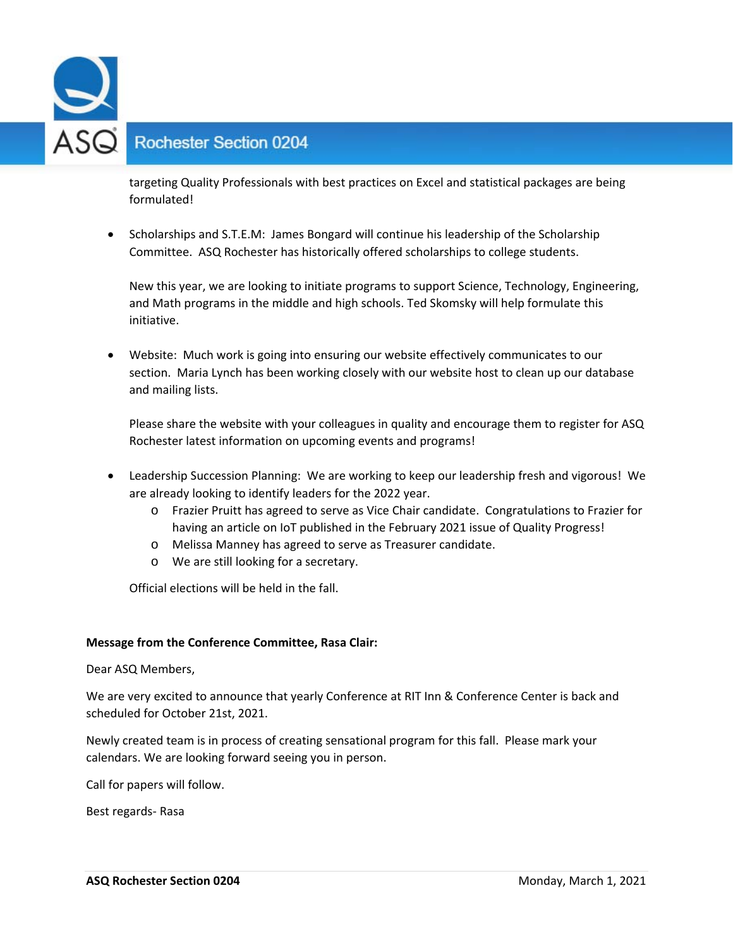

# **Rochester Section 0204**

targeting Quality Professionals with best practices on Excel and statistical packages are being formulated!

• Scholarships and S.T.E.M: James Bongard will continue his leadership of the Scholarship Committee. ASQ Rochester has historically offered scholarships to college students.

New this year, we are looking to initiate programs to support Science, Technology, Engineering, and Math programs in the middle and high schools. Ted Skomsky will help formulate this initiative.

 Website: Much work is going into ensuring our website effectively communicates to our section. Maria Lynch has been working closely with our website host to clean up our database and mailing lists.

Please share the website with your colleagues in quality and encourage them to register for ASQ Rochester latest information on upcoming events and programs!

- Leadership Succession Planning: We are working to keep our leadership fresh and vigorous! We are already looking to identify leaders for the 2022 year.
	- o Frazier Pruitt has agreed to serve as Vice Chair candidate. Congratulations to Frazier for having an article on IoT published in the February 2021 issue of Quality Progress!
	- o Melissa Manney has agreed to serve as Treasurer candidate.
	- o We are still looking for a secretary.

Official elections will be held in the fall.

### **Message from the Conference Committee, Rasa Clair:**

Dear ASQ Members,

We are very excited to announce that yearly Conference at RIT Inn & Conference Center is back and scheduled for October 21st, 2021.

Newly created team is in process of creating sensational program for this fall. Please mark your calendars. We are looking forward seeing you in person.

Call for papers will follow.

Best regards‐ Rasa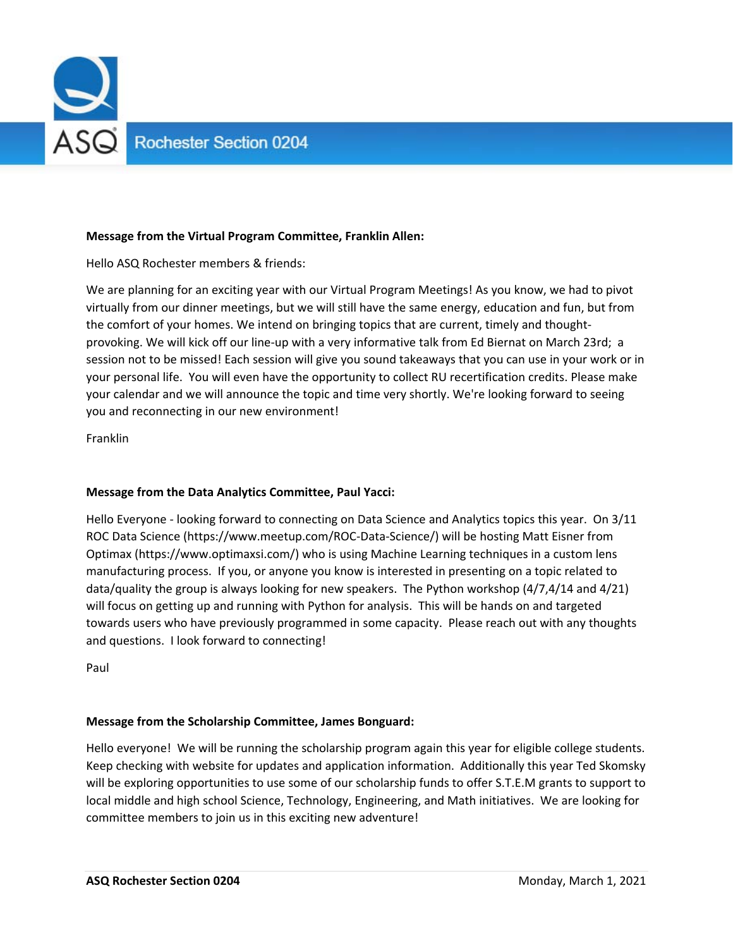

# **Message from the Virtual Program Committee, Franklin Allen:**

Hello ASQ Rochester members & friends:

We are planning for an exciting year with our Virtual Program Meetings! As you know, we had to pivot virtually from our dinner meetings, but we will still have the same energy, education and fun, but from the comfort of your homes. We intend on bringing topics that are current, timely and thoughtprovoking. We will kick off our line-up with a very informative talk from Ed Biernat on March 23rd; a session not to be missed! Each session will give you sound takeaways that you can use in your work or in your personal life. You will even have the opportunity to collect RU recertification credits. Please make your calendar and we will announce the topic and time very shortly. We're looking forward to seeing you and reconnecting in our new environment!

Franklin

### **Message from the Data Analytics Committee, Paul Yacci:**

Hello Everyone - looking forward to connecting on Data Science and Analytics topics this year. On 3/11 ROC Data Science (https://www.meetup.com/ROC‐Data‐Science/) will be hosting Matt Eisner from Optimax (https://www.optimaxsi.com/) who is using Machine Learning techniques in a custom lens manufacturing process. If you, or anyone you know is interested in presenting on a topic related to data/quality the group is always looking for new speakers. The Python workshop (4/7,4/14 and 4/21) will focus on getting up and running with Python for analysis. This will be hands on and targeted towards users who have previously programmed in some capacity. Please reach out with any thoughts and questions. I look forward to connecting!

Paul

### **Message from the Scholarship Committee, James Bonguard:**

Hello everyone! We will be running the scholarship program again this year for eligible college students. Keep checking with website for updates and application information. Additionally this year Ted Skomsky will be exploring opportunities to use some of our scholarship funds to offer S.T.E.M grants to support to local middle and high school Science, Technology, Engineering, and Math initiatives. We are looking for committee members to join us in this exciting new adventure!